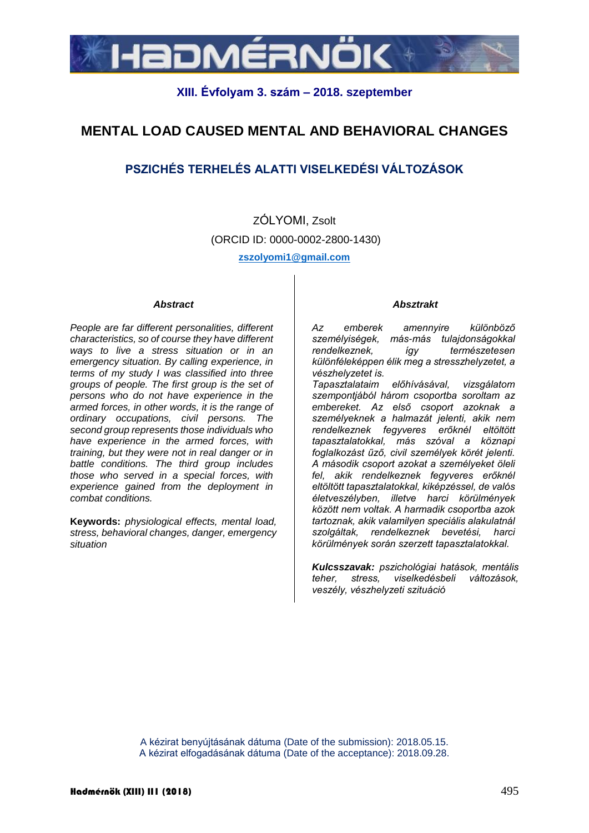

## **XIII. Évfolyam 3. szám – 2018. szeptember**

# **MENTAL LOAD CAUSED MENTAL AND BEHAVIORAL CHANGES**

## **PSZICHÉS TERHELÉS ALATTI VISELKEDÉSI VÁLTOZÁSOK**

ZÓLYOMI, Zsolt (ORCID ID: 0000-0002-2800-1430) **zszolyomi1@gmail.com**

#### *Abstract*

*People are far different personalities, different characteristics, so of course they have different ways to live a stress situation or in an emergency situation. By calling experience, in terms of my study I was classified into three groups of people. The first group is the set of persons who do not have experience in the armed forces, in other words, it is the range of ordinary occupations, civil persons. The second group represents those individuals who have experience in the armed forces, with training, but they were not in real danger or in battle conditions. The third group includes those who served in a special forces, with experience gained from the deployment in combat conditions.*

**Keywords:** *physiological effects, mental load, stress, behavioral changes, danger, emergency situation*

#### *Absztrakt*

*Az emberek amennyire különböző személyiségek, más-más tulajdonságokkal rendelkeznek, így természetesen különféleképpen élik meg a stresszhelyzetet, a vészhelyzetet is.* 

*Tapasztalataim előhívásával, vizsgálatom szempontjából három csoportba soroltam az embereket. Az első csoport azoknak a személyeknek a halmazát jelenti, akik nem rendelkeznek fegyveres erőknél eltöltött tapasztalatokkal, más szóval a köznapi foglalkozást űző, civil személyek körét jelenti. A második csoport azokat a személyeket öleli fel, akik rendelkeznek fegyveres erőknél eltöltött tapasztalatokkal, kiképzéssel, de valós életveszélyben, illetve harci körülmények között nem voltak. A harmadik csoportba azok tartoznak, akik valamilyen speciális alakulatnál szolgáltak, rendelkeznek bevetési, harci körülmények során szerzett tapasztalatokkal.*

*Kulcsszavak: pszichológiai hatások, mentális teher, stress, viselkedésbeli változások, veszély, vészhelyzeti szituáció*

A kézirat benyújtásának dátuma (Date of the submission): 2018.05.15. A kézirat elfogadásának dátuma (Date of the acceptance): 2018.09.28.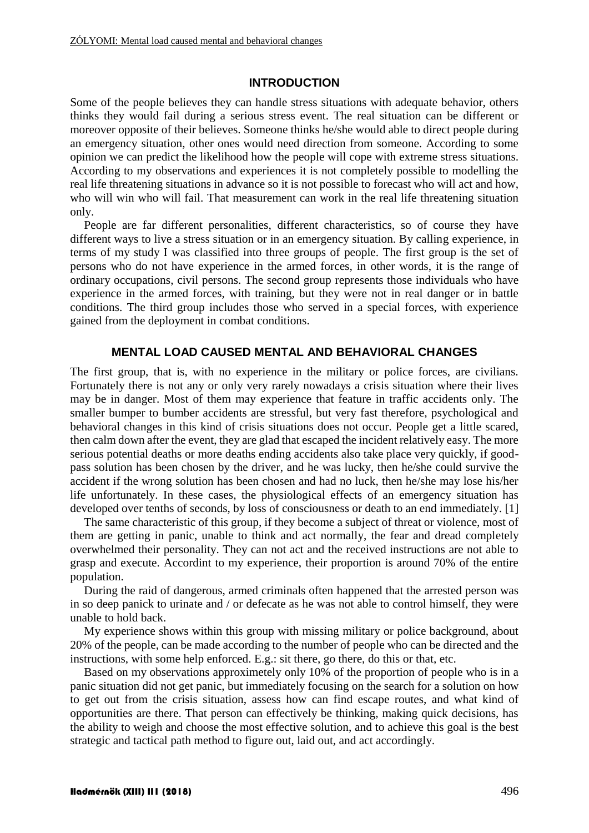## **INTRODUCTION**

Some of the people believes they can handle stress situations with adequate behavior, others thinks they would fail during a serious stress event. The real situation can be different or moreover opposite of their believes. Someone thinks he/she would able to direct people during an emergency situation, other ones would need direction from someone. According to some opinion we can predict the likelihood how the people will cope with extreme stress situations. According to my observations and experiences it is not completely possible to modelling the real life threatening situations in advance so it is not possible to forecast who will act and how, who will win who will fail. That measurement can work in the real life threatening situation only.

People are far different personalities, different characteristics, so of course they have different ways to live a stress situation or in an emergency situation. By calling experience, in terms of my study I was classified into three groups of people. The first group is the set of persons who do not have experience in the armed forces, in other words, it is the range of ordinary occupations, civil persons. The second group represents those individuals who have experience in the armed forces, with training, but they were not in real danger or in battle conditions. The third group includes those who served in a special forces, with experience gained from the deployment in combat conditions.

## **MENTAL LOAD CAUSED MENTAL AND BEHAVIORAL CHANGES**

The first group, that is, with no experience in the military or police forces, are civilians. Fortunately there is not any or only very rarely nowadays a crisis situation where their lives may be in danger. Most of them may experience that feature in traffic accidents only. The smaller bumper to bumber accidents are stressful, but very fast therefore, psychological and behavioral changes in this kind of crisis situations does not occur. People get a little scared, then calm down after the event, they are glad that escaped the incident relatively easy. The more serious potential deaths or more deaths ending accidents also take place very quickly, if goodpass solution has been chosen by the driver, and he was lucky, then he/she could survive the accident if the wrong solution has been chosen and had no luck, then he/she may lose his/her life unfortunately. In these cases, the physiological effects of an emergency situation has developed over tenths of seconds, by loss of consciousness or death to an end immediately. [1]

The same characteristic of this group, if they become a subject of threat or violence, most of them are getting in panic, unable to think and act normally, the fear and dread completely overwhelmed their personality. They can not act and the received instructions are not able to grasp and execute. Accordint to my experience, their proportion is around 70% of the entire population.

During the raid of dangerous, armed criminals often happened that the arrested person was in so deep panick to urinate and / or defecate as he was not able to control himself, they were unable to hold back.

My experience shows within this group with missing military or police background, about 20% of the people, can be made according to the number of people who can be directed and the instructions, with some help enforced. E.g.: sit there, go there, do this or that, etc.

Based on my observations approximetely only 10% of the proportion of people who is in a panic situation did not get panic, but immediately focusing on the search for a solution on how to get out from the crisis situation, assess how can find escape routes, and what kind of opportunities are there. That person can effectively be thinking, making quick decisions, has the ability to weigh and choose the most effective solution, and to achieve this goal is the best strategic and tactical path method to figure out, laid out, and act accordingly.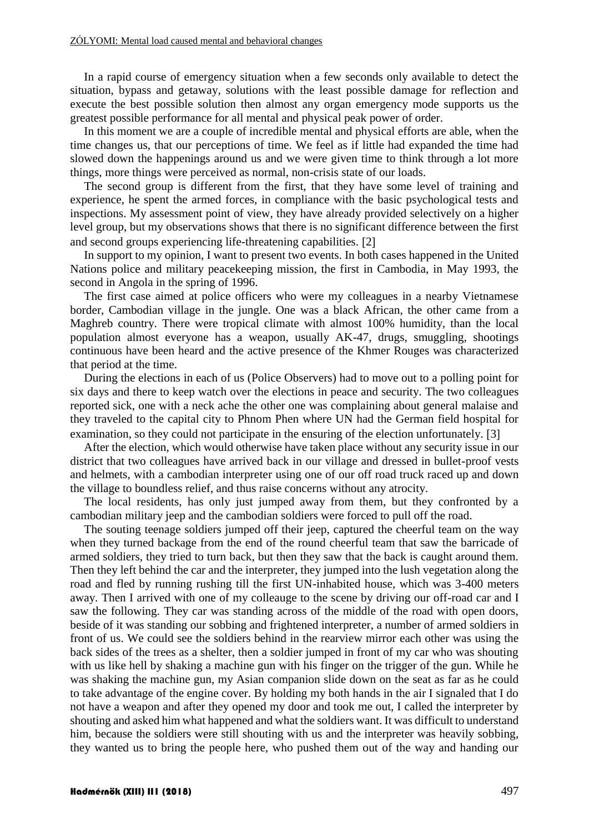In a rapid course of emergency situation when a few seconds only available to detect the situation, bypass and getaway, solutions with the least possible damage for reflection and execute the best possible solution then almost any organ emergency mode supports us the greatest possible performance for all mental and physical peak power of order.

In this moment we are a couple of incredible mental and physical efforts are able, when the time changes us, that our perceptions of time. We feel as if little had expanded the time had slowed down the happenings around us and we were given time to think through a lot more things, more things were perceived as normal, non-crisis state of our loads.

The second group is different from the first, that they have some level of training and experience, he spent the armed forces, in compliance with the basic psychological tests and inspections. My assessment point of view, they have already provided selectively on a higher level group, but my observations shows that there is no significant difference between the first and second groups experiencing life-threatening capabilities. [2]

In support to my opinion, I want to present two events. In both cases happened in the United Nations police and military peacekeeping mission, the first in Cambodia, in May 1993, the second in Angola in the spring of 1996.

The first case aimed at police officers who were my colleagues in a nearby Vietnamese border, Cambodian village in the jungle. One was a black African, the other came from a Maghreb country. There were tropical climate with almost 100% humidity, than the local population almost everyone has a weapon, usually AK-47, drugs, smuggling, shootings continuous have been heard and the active presence of the Khmer Rouges was characterized that period at the time.

During the elections in each of us (Police Observers) had to move out to a polling point for six days and there to keep watch over the elections in peace and security. The two colleagues reported sick, one with a neck ache the other one was complaining about general malaise and they traveled to the capital city to Phnom Phen where UN had the German field hospital for examination, so they could not participate in the ensuring of the election unfortunately. [3]

After the election, which would otherwise have taken place without any security issue in our district that two colleagues have arrived back in our village and dressed in bullet-proof vests and helmets, with a cambodian interpreter using one of our off road truck raced up and down the village to boundless relief, and thus raise concerns without any atrocity.

The local residents, has only just jumped away from them, but they confronted by a cambodian military jeep and the cambodian soldiers were forced to pull off the road.

The souting teenage soldiers jumped off their jeep, captured the cheerful team on the way when they turned backage from the end of the round cheerful team that saw the barricade of armed soldiers, they tried to turn back, but then they saw that the back is caught around them. Then they left behind the car and the interpreter, they jumped into the lush vegetation along the road and fled by running rushing till the first UN-inhabited house, which was 3-400 meters away. Then I arrived with one of my colleauge to the scene by driving our off-road car and I saw the following. They car was standing across of the middle of the road with open doors, beside of it was standing our sobbing and frightened interpreter, a number of armed soldiers in front of us. We could see the soldiers behind in the rearview mirror each other was using the back sides of the trees as a shelter, then a soldier jumped in front of my car who was shouting with us like hell by shaking a machine gun with his finger on the trigger of the gun. While he was shaking the machine gun, my Asian companion slide down on the seat as far as he could to take advantage of the engine cover. By holding my both hands in the air I signaled that I do not have a weapon and after they opened my door and took me out, I called the interpreter by shouting and asked him what happened and what the soldiers want. It was difficult to understand him, because the soldiers were still shouting with us and the interpreter was heavily sobbing, they wanted us to bring the people here, who pushed them out of the way and handing our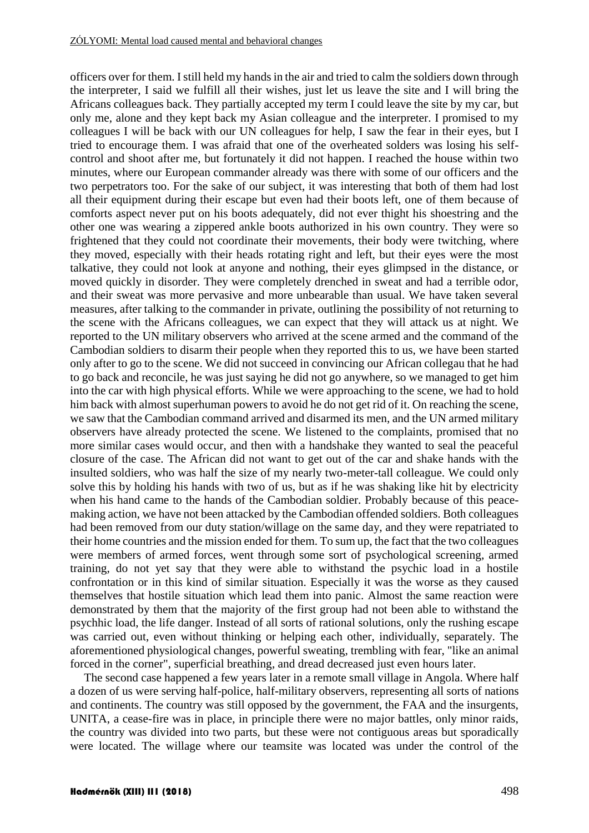officers over for them. I still held my hands in the air and tried to calm the soldiers down through the interpreter, I said we fulfill all their wishes, just let us leave the site and I will bring the Africans colleagues back. They partially accepted my term I could leave the site by my car, but only me, alone and they kept back my Asian colleague and the interpreter. I promised to my colleagues I will be back with our UN colleagues for help, I saw the fear in their eyes, but I tried to encourage them. I was afraid that one of the overheated solders was losing his selfcontrol and shoot after me, but fortunately it did not happen. I reached the house within two minutes, where our European commander already was there with some of our officers and the two perpetrators too. For the sake of our subject, it was interesting that both of them had lost all their equipment during their escape but even had their boots left, one of them because of comforts aspect never put on his boots adequately, did not ever thight his shoestring and the other one was wearing a zippered ankle boots authorized in his own country. They were so frightened that they could not coordinate their movements, their body were twitching, where they moved, especially with their heads rotating right and left, but their eyes were the most talkative, they could not look at anyone and nothing, their eyes glimpsed in the distance, or moved quickly in disorder. They were completely drenched in sweat and had a terrible odor, and their sweat was more pervasive and more unbearable than usual. We have taken several measures, after talking to the commander in private, outlining the possibility of not returning to the scene with the Africans colleagues, we can expect that they will attack us at night. We reported to the UN military observers who arrived at the scene armed and the command of the Cambodian soldiers to disarm their people when they reported this to us, we have been started only after to go to the scene. We did not succeed in convincing our African collegau that he had to go back and reconcile, he was just saying he did not go anywhere, so we managed to get him into the car with high physical efforts. While we were approaching to the scene, we had to hold him back with almost superhuman powers to avoid he do not get rid of it. On reaching the scene, we saw that the Cambodian command arrived and disarmed its men, and the UN armed military observers have already protected the scene. We listened to the complaints, promised that no more similar cases would occur, and then with a handshake they wanted to seal the peaceful closure of the case. The African did not want to get out of the car and shake hands with the insulted soldiers, who was half the size of my nearly two-meter-tall colleague. We could only solve this by holding his hands with two of us, but as if he was shaking like hit by electricity when his hand came to the hands of the Cambodian soldier. Probably because of this peacemaking action, we have not been attacked by the Cambodian offended soldiers. Both colleagues had been removed from our duty station/willage on the same day, and they were repatriated to their home countries and the mission ended for them. To sum up, the fact that the two colleagues were members of armed forces, went through some sort of psychological screening, armed training, do not yet say that they were able to withstand the psychic load in a hostile confrontation or in this kind of similar situation. Especially it was the worse as they caused themselves that hostile situation which lead them into panic. Almost the same reaction were demonstrated by them that the majority of the first group had not been able to withstand the psychhic load, the life danger. Instead of all sorts of rational solutions, only the rushing escape was carried out, even without thinking or helping each other, individually, separately. The aforementioned physiological changes, powerful sweating, trembling with fear, "like an animal forced in the corner", superficial breathing, and dread decreased just even hours later.

The second case happened a few years later in a remote small village in Angola. Where half a dozen of us were serving half-police, half-military observers, representing all sorts of nations and continents. The country was still opposed by the government, the FAA and the insurgents, UNITA, a cease-fire was in place, in principle there were no major battles, only minor raids, the country was divided into two parts, but these were not contiguous areas but sporadically were located. The willage where our teamsite was located was under the control of the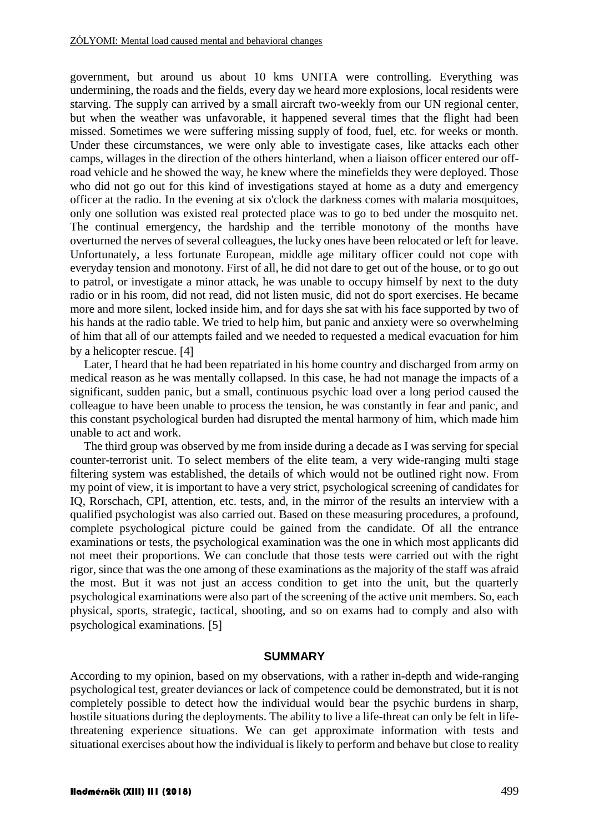government, but around us about 10 kms UNITA were controlling. Everything was undermining, the roads and the fields, every day we heard more explosions, local residents were starving. The supply can arrived by a small aircraft two-weekly from our UN regional center, but when the weather was unfavorable, it happened several times that the flight had been missed. Sometimes we were suffering missing supply of food, fuel, etc. for weeks or month. Under these circumstances, we were only able to investigate cases, like attacks each other camps, willages in the direction of the others hinterland, when a liaison officer entered our offroad vehicle and he showed the way, he knew where the minefields they were deployed. Those who did not go out for this kind of investigations stayed at home as a duty and emergency officer at the radio. In the evening at six o'clock the darkness comes with malaria mosquitoes, only one sollution was existed real protected place was to go to bed under the mosquito net. The continual emergency, the hardship and the terrible monotony of the months have overturned the nerves of several colleagues, the lucky ones have been relocated or left for leave. Unfortunately, a less fortunate European, middle age military officer could not cope with everyday tension and monotony. First of all, he did not dare to get out of the house, or to go out to patrol, or investigate a minor attack, he was unable to occupy himself by next to the duty radio or in his room, did not read, did not listen music, did not do sport exercises. He became more and more silent, locked inside him, and for days she sat with his face supported by two of his hands at the radio table. We tried to help him, but panic and anxiety were so overwhelming of him that all of our attempts failed and we needed to requested a medical evacuation for him by a helicopter rescue. [4]

Later, I heard that he had been repatriated in his home country and discharged from army on medical reason as he was mentally collapsed. In this case, he had not manage the impacts of a significant, sudden panic, but a small, continuous psychic load over a long period caused the colleague to have been unable to process the tension, he was constantly in fear and panic, and this constant psychological burden had disrupted the mental harmony of him, which made him unable to act and work.

The third group was observed by me from inside during a decade as I was serving for special counter-terrorist unit. To select members of the elite team, a very wide-ranging multi stage filtering system was established, the details of which would not be outlined right now. From my point of view, it is important to have a very strict, psychological screening of candidates for IQ, Rorschach, CPI, attention, etc. tests, and, in the mirror of the results an interview with a qualified psychologist was also carried out. Based on these measuring procedures, a profound, complete psychological picture could be gained from the candidate. Of all the entrance examinations or tests, the psychological examination was the one in which most applicants did not meet their proportions. We can conclude that those tests were carried out with the right rigor, since that was the one among of these examinations as the majority of the staff was afraid the most. But it was not just an access condition to get into the unit, but the quarterly psychological examinations were also part of the screening of the active unit members. So, each physical, sports, strategic, tactical, shooting, and so on exams had to comply and also with psychological examinations. 5

### **SUMMARY**

According to my opinion, based on my observations, with a rather in-depth and wide-ranging psychological test, greater deviances or lack of competence could be demonstrated, but it is not completely possible to detect how the individual would bear the psychic burdens in sharp, hostile situations during the deployments. The ability to live a life-threat can only be felt in lifethreatening experience situations. We can get approximate information with tests and situational exercises about how the individual is likely to perform and behave but close to reality